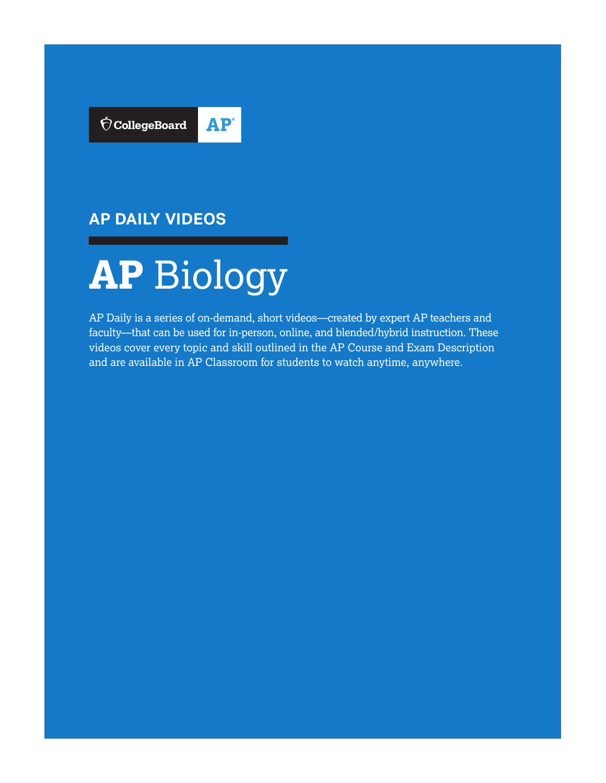

# **AP DAILY VIDEOS**



AP Daily is a series of on-demand, short videos—created by expert AP teachers and faculty—that can be used for in-person, online, and blended/hybrid instruction. These videos cover every topic and skill outlined in the AP Course and Exam Description and are available in AP Classroom for students to watch anytime, anywhere.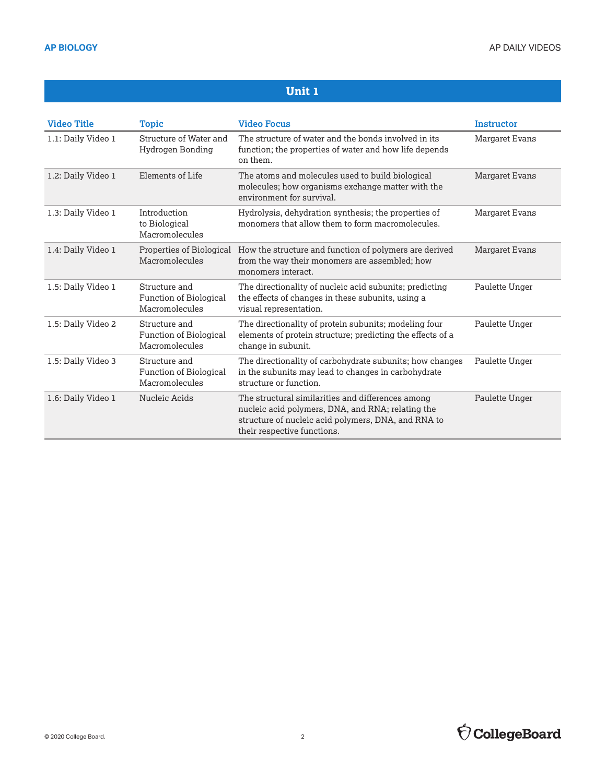| <b>Video Title</b> | <b>Topic</b>                                              | <b>Video Focus</b>                                                                                                                                                                           | <b>Instructor</b>     |
|--------------------|-----------------------------------------------------------|----------------------------------------------------------------------------------------------------------------------------------------------------------------------------------------------|-----------------------|
| 1.1: Daily Video 1 | Structure of Water and<br>Hydrogen Bonding                | The structure of water and the bonds involved in its<br>function; the properties of water and how life depends<br>on them.                                                                   | Margaret Evans        |
| 1.2: Daily Video 1 | Elements of Life                                          | The atoms and molecules used to build biological<br>molecules; how organisms exchange matter with the<br>environment for survival.                                                           | Margaret Evans        |
| 1.3: Daily Video 1 | Introduction<br>to Biological<br>Macromolecules           | Hydrolysis, dehydration synthesis; the properties of<br>monomers that allow them to form macromolecules.                                                                                     | Margaret Evans        |
| 1.4: Daily Video 1 | Properties of Biological<br>Macromolecules                | How the structure and function of polymers are derived<br>from the way their monomers are assembled; how<br>monomers interact.                                                               | <b>Margaret Evans</b> |
| 1.5: Daily Video 1 | Structure and<br>Function of Biological<br>Macromolecules | The directionality of nucleic acid subunits; predicting<br>the effects of changes in these subunits, using a<br>visual representation.                                                       | Paulette Unger        |
| 1.5: Daily Video 2 | Structure and<br>Function of Biological<br>Macromolecules | The directionality of protein subunits; modeling four<br>elements of protein structure; predicting the effects of a<br>change in subunit.                                                    | Paulette Unger        |
| 1.5: Daily Video 3 | Structure and<br>Function of Biological<br>Macromolecules | The directionality of carbohydrate subunits; how changes<br>in the subunits may lead to changes in carbohydrate<br>structure or function.                                                    | Paulette Unger        |
| 1.6: Daily Video 1 | Nucleic Acids                                             | The structural similarities and differences among<br>nucleic acid polymers, DNA, and RNA; relating the<br>structure of nucleic acid polymers, DNA, and RNA to<br>their respective functions. | Paulette Unger        |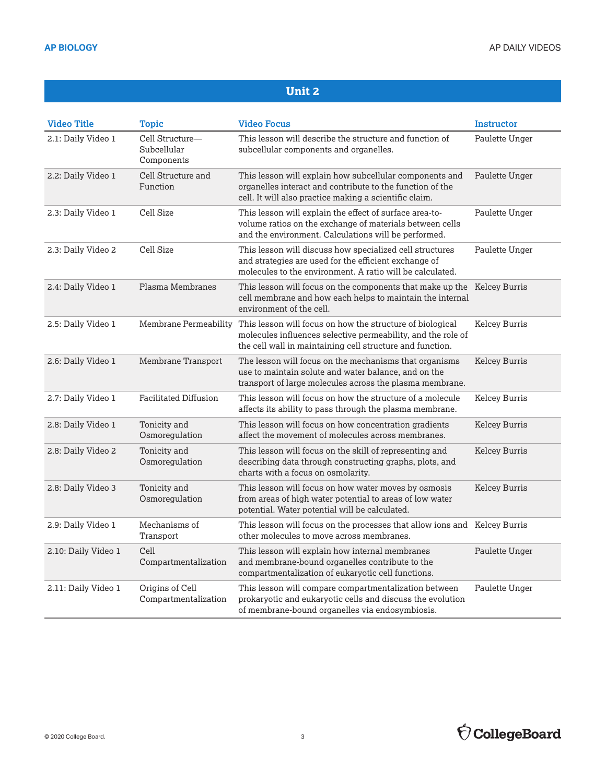| <b>Video Title</b>  | Topic                                        | <b>Video Focus</b>                                                                                                                                                                                           | Instructor           |
|---------------------|----------------------------------------------|--------------------------------------------------------------------------------------------------------------------------------------------------------------------------------------------------------------|----------------------|
| 2.1: Daily Video 1  | Cell Structure-<br>Subcellular<br>Components | This lesson will describe the structure and function of<br>subcellular components and organelles.                                                                                                            | Paulette Unger       |
| 2.2: Daily Video 1  | Cell Structure and<br>Function               | This lesson will explain how subcellular components and<br>organelles interact and contribute to the function of the<br>cell. It will also practice making a scientific claim.                               | Paulette Unger       |
| 2.3: Daily Video 1  | Cell Size                                    | This lesson will explain the effect of surface area-to-<br>volume ratios on the exchange of materials between cells<br>and the environment. Calculations will be performed.                                  | Paulette Unger       |
| 2.3: Daily Video 2  | Cell Size                                    | This lesson will discuss how specialized cell structures<br>and strategies are used for the efficient exchange of<br>molecules to the environment. A ratio will be calculated.                               | Paulette Unger       |
| 2.4: Daily Video 1  | Plasma Membranes                             | This lesson will focus on the components that make up the Kelcey Burris<br>cell membrane and how each helps to maintain the internal<br>environment of the cell.                                             |                      |
| 2.5: Daily Video 1  |                                              | Membrane Permeability This lesson will focus on how the structure of biological<br>molecules influences selective permeability, and the role of<br>the cell wall in maintaining cell structure and function. | <b>Kelcey Burris</b> |
| 2.6: Daily Video 1  | Membrane Transport                           | The lesson will focus on the mechanisms that organisms<br>use to maintain solute and water balance, and on the<br>transport of large molecules across the plasma membrane.                                   | <b>Kelcey Burris</b> |
| 2.7: Daily Video 1  | <b>Facilitated Diffusion</b>                 | This lesson will focus on how the structure of a molecule<br>affects its ability to pass through the plasma membrane.                                                                                        | <b>Kelcey Burris</b> |
| 2.8: Daily Video 1  | Tonicity and<br>Osmoregulation               | This lesson will focus on how concentration gradients<br>affect the movement of molecules across membranes.                                                                                                  | <b>Kelcey Burris</b> |
| 2.8: Daily Video 2  | Tonicity and<br>Osmoregulation               | This lesson will focus on the skill of representing and<br>describing data through constructing graphs, plots, and<br>charts with a focus on osmolarity.                                                     | Kelcey Burris        |
| 2.8: Daily Video 3  | Tonicity and<br>Osmoregulation               | This lesson will focus on how water moves by osmosis<br>from areas of high water potential to areas of low water<br>potential. Water potential will be calculated.                                           | <b>Kelcey Burris</b> |
| 2.9: Daily Video 1  | Mechanisms of<br>Transport                   | This lesson will focus on the processes that allow ions and Kelcey Burris<br>other molecules to move across membranes.                                                                                       |                      |
| 2.10: Daily Video 1 | Cell<br>Compartmentalization                 | This lesson will explain how internal membranes<br>and membrane-bound organelles contribute to the<br>compartmentalization of eukaryotic cell functions.                                                     | Paulette Unger       |
| 2.11: Daily Video 1 | Origins of Cell<br>Compartmentalization      | This lesson will compare compartmentalization between<br>prokaryotic and eukaryotic cells and discuss the evolution<br>of membrane-bound organelles via endosymbiosis.                                       | Paulette Unger       |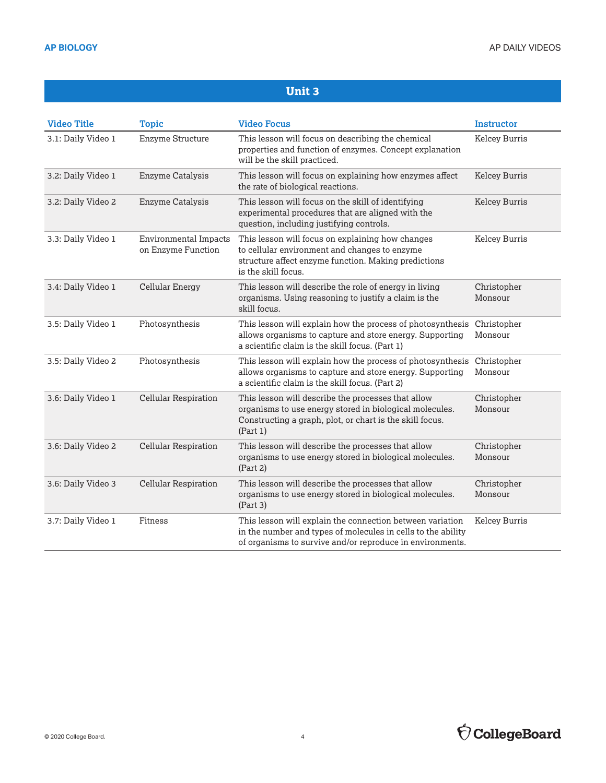| <b>Video Title</b> | <b>Topic</b>                                       | <b>Video Focus</b>                                                                                                                                                                     | <b>Instructor</b>      |
|--------------------|----------------------------------------------------|----------------------------------------------------------------------------------------------------------------------------------------------------------------------------------------|------------------------|
| 3.1: Daily Video 1 | Enzyme Structure                                   | This lesson will focus on describing the chemical<br>properties and function of enzymes. Concept explanation<br>will be the skill practiced.                                           | <b>Kelcey Burris</b>   |
| 3.2: Daily Video 1 | Enzyme Catalysis                                   | This lesson will focus on explaining how enzymes affect<br>the rate of biological reactions.                                                                                           | <b>Kelcey Burris</b>   |
| 3.2: Daily Video 2 | Enzyme Catalysis                                   | This lesson will focus on the skill of identifying<br>experimental procedures that are aligned with the<br>question, including justifying controls.                                    | <b>Kelcey Burris</b>   |
| 3.3: Daily Video 1 | <b>Environmental Impacts</b><br>on Enzyme Function | This lesson will focus on explaining how changes<br>to cellular environment and changes to enzyme<br>structure affect enzyme function. Making predictions<br>is the skill focus.       | <b>Kelcey Burris</b>   |
| 3.4: Daily Video 1 | <b>Cellular Energy</b>                             | This lesson will describe the role of energy in living<br>organisms. Using reasoning to justify a claim is the<br>skill focus.                                                         | Christopher<br>Monsour |
| 3.5: Daily Video 1 | Photosynthesis                                     | This lesson will explain how the process of photosynthesis<br>allows organisms to capture and store energy. Supporting<br>a scientific claim is the skill focus. (Part 1)              | Christopher<br>Monsour |
| 3.5: Daily Video 2 | Photosynthesis                                     | This lesson will explain how the process of photosynthesis<br>allows organisms to capture and store energy. Supporting<br>a scientific claim is the skill focus. (Part 2)              | Christopher<br>Monsour |
| 3.6: Daily Video 1 | <b>Cellular Respiration</b>                        | This lesson will describe the processes that allow<br>organisms to use energy stored in biological molecules.<br>Constructing a graph, plot, or chart is the skill focus.<br>(Part 1)  | Christopher<br>Monsour |
| 3.6: Daily Video 2 | <b>Cellular Respiration</b>                        | This lesson will describe the processes that allow<br>organisms to use energy stored in biological molecules.<br>(Part 2)                                                              | Christopher<br>Monsour |
| 3.6: Daily Video 3 | <b>Cellular Respiration</b>                        | This lesson will describe the processes that allow<br>organisms to use energy stored in biological molecules.<br>(Part 3)                                                              | Christopher<br>Monsour |
| 3.7: Daily Video 1 | Fitness                                            | This lesson will explain the connection between variation<br>in the number and types of molecules in cells to the ability<br>of organisms to survive and/or reproduce in environments. | <b>Kelcey Burris</b>   |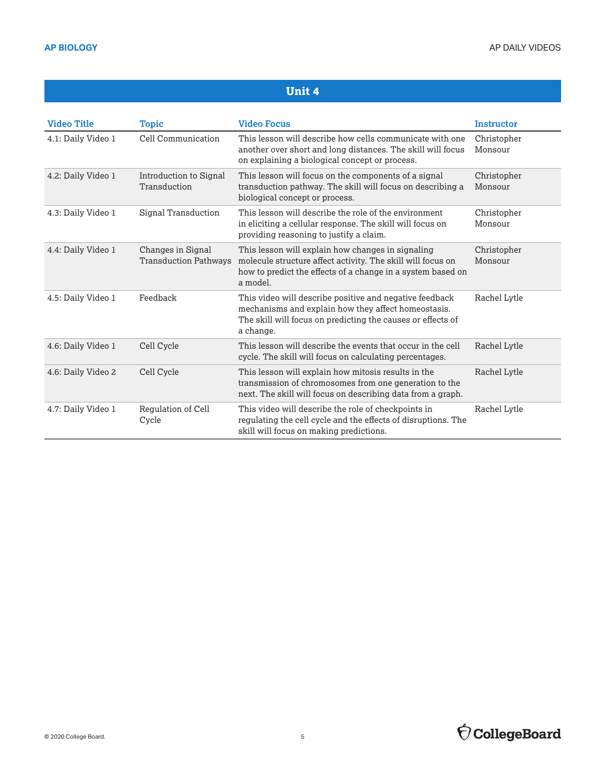| <b>Video Title</b> | <b>Topic</b>                                      | <b>Video Focus</b>                                                                                                                                                                          | <b>Instructor</b>      |
|--------------------|---------------------------------------------------|---------------------------------------------------------------------------------------------------------------------------------------------------------------------------------------------|------------------------|
| 4.1: Daily Video 1 | Cell Communication                                | This lesson will describe how cells communicate with one<br>another over short and long distances. The skill will focus<br>on explaining a biological concept or process.                   | Christopher<br>Monsour |
| 4.2: Daily Video 1 | Introduction to Signal<br>Transduction            | This lesson will focus on the components of a signal<br>transduction pathway. The skill will focus on describing a<br>biological concept or process.                                        | Christopher<br>Monsour |
| 4.3: Daily Video 1 | Signal Transduction                               | This lesson will describe the role of the environment<br>in eliciting a cellular response. The skill will focus on<br>providing reasoning to justify a claim.                               | Christopher<br>Monsour |
| 4.4: Daily Video 1 | Changes in Signal<br><b>Transduction Pathways</b> | This lesson will explain how changes in signaling<br>molecule structure affect activity. The skill will focus on<br>how to predict the effects of a change in a system based on<br>a model. | Christopher<br>Monsour |
| 4.5: Daily Video 1 | Feedback                                          | This video will describe positive and negative feedback<br>mechanisms and explain how they affect homeostasis.<br>The skill will focus on predicting the causes or effects of<br>a change.  | Rachel Lytle           |
| 4.6: Daily Video 1 | Cell Cycle                                        | This lesson will describe the events that occur in the cell<br>cycle. The skill will focus on calculating percentages.                                                                      | Rachel Lytle           |
| 4.6: Daily Video 2 | Cell Cycle                                        | This lesson will explain how mitosis results in the<br>transmission of chromosomes from one generation to the<br>next. The skill will focus on describing data from a graph.                | Rachel Lytle           |
| 4.7: Daily Video 1 | Regulation of Cell<br>Cycle                       | This video will describe the role of checkpoints in<br>regulating the cell cycle and the effects of disruptions. The<br>skill will focus on making predictions.                             | Rachel Lytle           |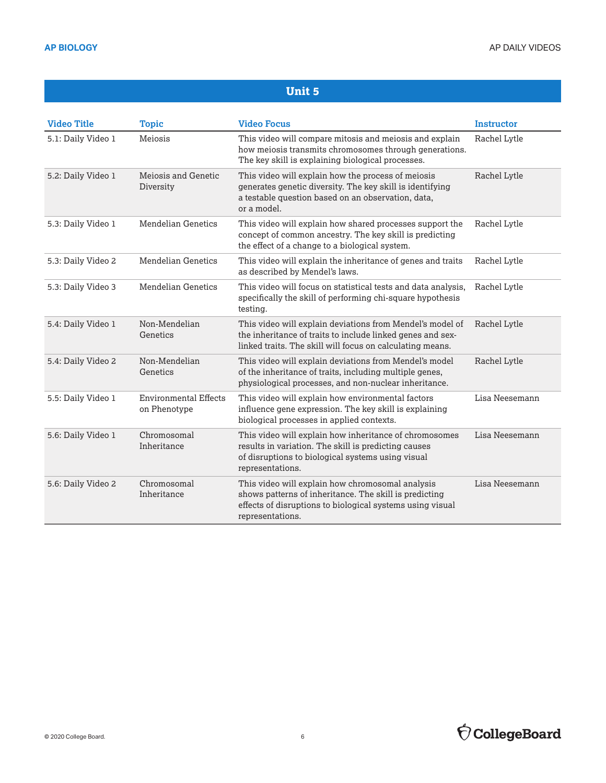| <b>Video Title</b> | <b>Topic</b>                                 | <b>Video Focus</b>                                                                                                                                                                          | <b>Instructor</b> |
|--------------------|----------------------------------------------|---------------------------------------------------------------------------------------------------------------------------------------------------------------------------------------------|-------------------|
| 5.1: Daily Video 1 | Meiosis                                      | This video will compare mitosis and meiosis and explain<br>how meiosis transmits chromosomes through generations.<br>The key skill is explaining biological processes.                      | Rachel Lytle      |
| 5.2: Daily Video 1 | Meiosis and Genetic<br>Diversity             | This video will explain how the process of meiosis<br>generates genetic diversity. The key skill is identifying<br>a testable question based on an observation, data,<br>or a model.        | Rachel Lytle      |
| 5.3: Daily Video 1 | <b>Mendelian Genetics</b>                    | This video will explain how shared processes support the<br>concept of common ancestry. The key skill is predicting<br>the effect of a change to a biological system.                       | Rachel Lytle      |
| 5.3: Daily Video 2 | <b>Mendelian Genetics</b>                    | This video will explain the inheritance of genes and traits<br>as described by Mendel's laws.                                                                                               | Rachel Lytle      |
| 5.3: Daily Video 3 | <b>Mendelian Genetics</b>                    | This video will focus on statistical tests and data analysis,<br>specifically the skill of performing chi-square hypothesis<br>testing.                                                     | Rachel Lytle      |
| 5.4: Daily Video 1 | Non-Mendelian<br>Genetics                    | This video will explain deviations from Mendel's model of<br>the inheritance of traits to include linked genes and sex-<br>linked traits. The skill will focus on calculating means.        | Rachel Lytle      |
| 5.4: Daily Video 2 | Non-Mendelian<br>Genetics                    | This video will explain deviations from Mendel's model<br>of the inheritance of traits, including multiple genes,<br>physiological processes, and non-nuclear inheritance.                  | Rachel Lytle      |
| 5.5: Daily Video 1 | <b>Environmental Effects</b><br>on Phenotype | This video will explain how environmental factors<br>influence gene expression. The key skill is explaining<br>biological processes in applied contexts.                                    | Lisa Neesemann    |
| 5.6: Daily Video 1 | Chromosomal<br>Inheritance                   | This video will explain how inheritance of chromosomes<br>results in variation. The skill is predicting causes<br>of disruptions to biological systems using visual<br>representations.     | Lisa Neesemann    |
| 5.6: Daily Video 2 | Chromosomal<br>Inheritance                   | This video will explain how chromosomal analysis<br>shows patterns of inheritance. The skill is predicting<br>effects of disruptions to biological systems using visual<br>representations. | Lisa Neesemann    |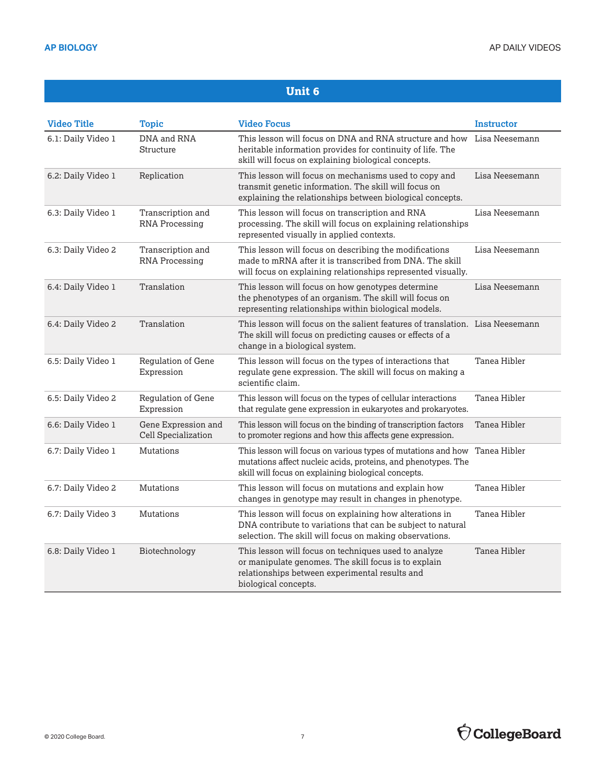| <b>Video Title</b> | <b>Topic</b>                               | <b>Video Focus</b>                                                                                                                                                                                | <b>Instructor</b> |
|--------------------|--------------------------------------------|---------------------------------------------------------------------------------------------------------------------------------------------------------------------------------------------------|-------------------|
| 6.1: Daily Video 1 | DNA and RNA<br>Structure                   | This lesson will focus on DNA and RNA structure and how<br>heritable information provides for continuity of life. The<br>skill will focus on explaining biological concepts.                      | Lisa Neesemann    |
| 6.2: Daily Video 1 | Replication                                | This lesson will focus on mechanisms used to copy and<br>transmit genetic information. The skill will focus on<br>explaining the relationships between biological concepts.                       | Lisa Neesemann    |
| 6.3: Daily Video 1 | Transcription and<br><b>RNA Processing</b> | This lesson will focus on transcription and RNA<br>processing. The skill will focus on explaining relationships<br>represented visually in applied contexts.                                      | Lisa Neesemann    |
| 6.3: Daily Video 2 | Transcription and<br><b>RNA Processing</b> | This lesson will focus on describing the modifications<br>made to mRNA after it is transcribed from DNA. The skill<br>will focus on explaining relationships represented visually.                | Lisa Neesemann    |
| 6.4: Daily Video 1 | Translation                                | This lesson will focus on how genotypes determine<br>the phenotypes of an organism. The skill will focus on<br>representing relationships within biological models.                               | Lisa Neesemann    |
| 6.4: Daily Video 2 | Translation                                | This lesson will focus on the salient features of translation. Lisa Neesemann<br>The skill will focus on predicting causes or effects of a<br>change in a biological system.                      |                   |
| 6.5: Daily Video 1 | Regulation of Gene<br>Expression           | This lesson will focus on the types of interactions that<br>regulate gene expression. The skill will focus on making a<br>scientific claim.                                                       | Tanea Hibler      |
| 6.5: Daily Video 2 | Regulation of Gene<br>Expression           | This lesson will focus on the types of cellular interactions<br>that regulate gene expression in eukaryotes and prokaryotes.                                                                      | Tanea Hibler      |
| 6.6: Daily Video 1 | Gene Expression and<br>Cell Specialization | This lesson will focus on the binding of transcription factors<br>to promoter regions and how this affects gene expression.                                                                       | Tanea Hibler      |
| 6.7: Daily Video 1 | Mutations                                  | This lesson will focus on various types of mutations and how Tanea Hibler<br>mutations affect nucleic acids, proteins, and phenotypes. The<br>skill will focus on explaining biological concepts. |                   |
| 6.7: Daily Video 2 | Mutations                                  | This lesson will focus on mutations and explain how<br>changes in genotype may result in changes in phenotype.                                                                                    | Tanea Hibler      |
| 6.7: Daily Video 3 | Mutations                                  | This lesson will focus on explaining how alterations in<br>DNA contribute to variations that can be subject to natural<br>selection. The skill will focus on making observations.                 | Tanea Hibler      |
| 6.8: Daily Video 1 | Biotechnology                              | This lesson will focus on techniques used to analyze<br>or manipulate genomes. The skill focus is to explain<br>relationships between experimental results and<br>biological concepts.            | Tanea Hibler      |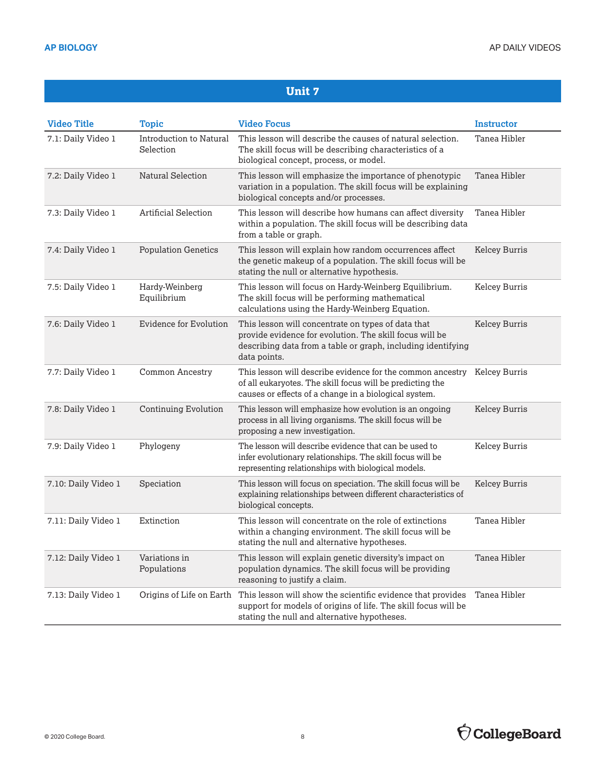| <b>Video Title</b>  | Topic                                | <b>Video Focus</b>                                                                                                                                                                             | <b>Instructor</b>    |
|---------------------|--------------------------------------|------------------------------------------------------------------------------------------------------------------------------------------------------------------------------------------------|----------------------|
| 7.1: Daily Video 1  | Introduction to Natural<br>Selection | This lesson will describe the causes of natural selection.<br>The skill focus will be describing characteristics of a<br>biological concept, process, or model.                                | Tanea Hibler         |
| 7.2: Daily Video 1  | Natural Selection                    | This lesson will emphasize the importance of phenotypic<br>variation in a population. The skill focus will be explaining<br>biological concepts and/or processes.                              | Tanea Hibler         |
| 7.3: Daily Video 1  | <b>Artificial Selection</b>          | This lesson will describe how humans can affect diversity<br>within a population. The skill focus will be describing data<br>from a table or graph.                                            | Tanea Hibler         |
| 7.4: Daily Video 1  | <b>Population Genetics</b>           | This lesson will explain how random occurrences affect<br>the genetic makeup of a population. The skill focus will be<br>stating the null or alternative hypothesis.                           | <b>Kelcey Burris</b> |
| 7.5: Daily Video 1  | Hardy-Weinberg<br>Equilibrium        | This lesson will focus on Hardy-Weinberg Equilibrium.<br>The skill focus will be performing mathematical<br>calculations using the Hardy-Weinberg Equation.                                    | <b>Kelcey Burris</b> |
| 7.6: Daily Video 1  | Evidence for Evolution               | This lesson will concentrate on types of data that<br>provide evidence for evolution. The skill focus will be<br>describing data from a table or graph, including identifying<br>data points.  | Kelcey Burris        |
| 7.7: Daily Video 1  | <b>Common Ancestry</b>               | This lesson will describe evidence for the common ancestry Kelcey Burris<br>of all eukaryotes. The skill focus will be predicting the<br>causes or effects of a change in a biological system. |                      |
| 7.8: Daily Video 1  | <b>Continuing Evolution</b>          | This lesson will emphasize how evolution is an ongoing<br>process in all living organisms. The skill focus will be<br>proposing a new investigation.                                           | <b>Kelcey Burris</b> |
| 7.9: Daily Video 1  | Phylogeny                            | The lesson will describe evidence that can be used to<br>infer evolutionary relationships. The skill focus will be<br>representing relationships with biological models.                       | Kelcey Burris        |
| 7.10: Daily Video 1 | Speciation                           | This lesson will focus on speciation. The skill focus will be<br>explaining relationships between different characteristics of<br>biological concepts.                                         | Kelcey Burris        |
| 7.11: Daily Video 1 | Extinction                           | This lesson will concentrate on the role of extinctions<br>within a changing environment. The skill focus will be<br>stating the null and alternative hypotheses.                              | Tanea Hibler         |
| 7.12: Daily Video 1 | Variations in<br>Populations         | This lesson will explain genetic diversity's impact on<br>population dynamics. The skill focus will be providing<br>reasoning to justify a claim.                                              | Tanea Hibler         |
| 7.13: Daily Video 1 | Origins of Life on Earth             | This lesson will show the scientific evidence that provides<br>support for models of origins of life. The skill focus will be<br>stating the null and alternative hypotheses.                  | Tanea Hibler         |